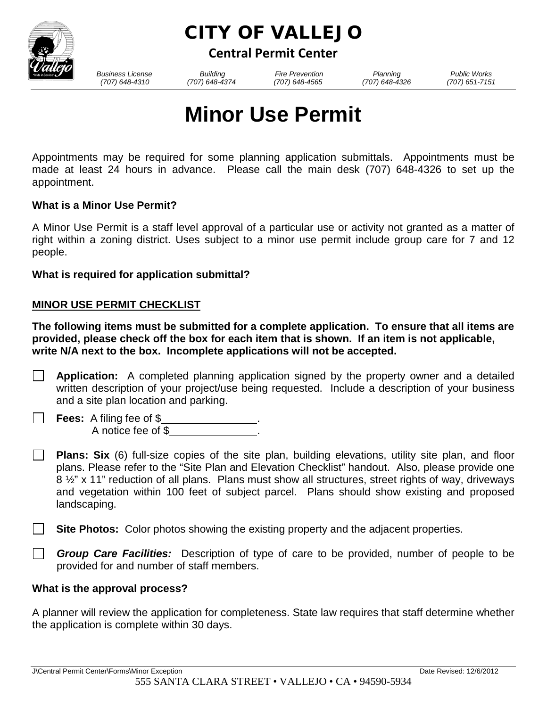

# CITY OF VALLEJO

**Central Permit Center**

*Business License Building Fire Prevention Planning Public Works*

 *(707) 648-4310 (707) 648-4374 (707) 648-4565 (707) 648-4326 (707) 651-7151*

# **Minor Use Permit**

Appointments may be required for some planning application submittals. Appointments must be made at least 24 hours in advance. Please call the main desk (707) 648-4326 to set up the appointment.

# **What is a Minor Use Permit?**

A Minor Use Permit is a staff level approval of a particular use or activity not granted as a matter of right within a zoning district. Uses subject to a minor use permit include group care for 7 and 12 people.

**What is required for application submittal?**

# **MINOR USE PERMIT CHECKLIST**

**The following items must be submitted for a complete application. To ensure that all items are provided, please check off the box for each item that is shown. If an item is not applicable, write N/A next to the box. Incomplete applications will not be accepted.** 

- **Application:** A completed planning application signed by the property owner and a detailed written description of your project/use being requested. Include a description of your business and a site plan location and parking.
- **Fees:** A filing fee of \$ . A notice fee of \$ .
- **Plans: Six** (6) full-size copies of the site plan, building elevations, utility site plan, and floor plans. Please refer to the "Site Plan and Elevation Checklist" handout. Also, please provide one 8  $\frac{1}{2}$ " x 11" reduction of all plans. Plans must show all structures, street rights of way, driveways and vegetation within 100 feet of subject parcel. Plans should show existing and proposed landscaping.
- **Site Photos:** Color photos showing the existing property and the adjacent properties.
- $\perp$ *Group Care Facilities:* Description of type of care to be provided, number of people to be provided for and number of staff members.

## **What is the approval process?**

A planner will review the application for completeness. State law requires that staff determine whether the application is complete within 30 days.